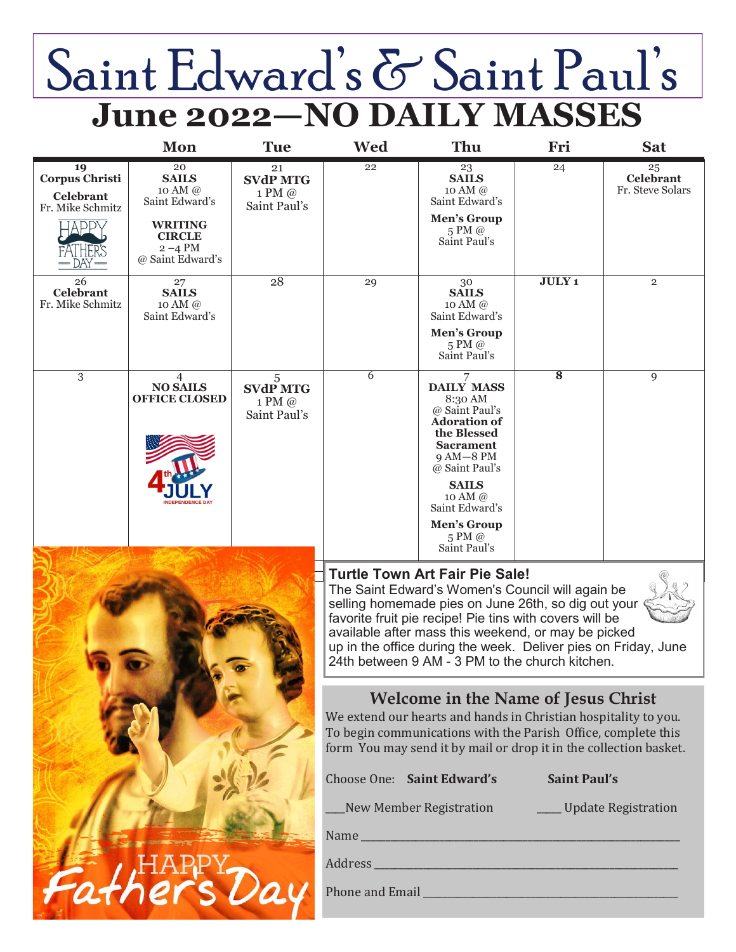# Saint Edward's & Saint Paul's **June 2022—NO DAILY MASSES**

|                                                                | Mon                                                                                                                  | <b>Tue</b>                                      | Wed                                                                                                                                                                                                                                                                                                                                                                                     | Thu                                                                                                                                                                                                                                                                            | Fri                 | <b>Sat</b>                                     |
|----------------------------------------------------------------|----------------------------------------------------------------------------------------------------------------------|-------------------------------------------------|-----------------------------------------------------------------------------------------------------------------------------------------------------------------------------------------------------------------------------------------------------------------------------------------------------------------------------------------------------------------------------------------|--------------------------------------------------------------------------------------------------------------------------------------------------------------------------------------------------------------------------------------------------------------------------------|---------------------|------------------------------------------------|
| 19<br>Corpus Christi<br>Celebrant<br>Fr. Mike Schmitz<br>A DDN | 20<br><b>SAILS</b><br>10 AM @<br>Saint Edward's<br><b>WRITING</b><br><b>CIRCLE</b><br>$2 - 4$ PM<br>@ Saint Edward's | 21<br><b>SVdP MTG</b><br>1 PM @<br>Saint Paul's | 22                                                                                                                                                                                                                                                                                                                                                                                      | 23<br><b>SAILS</b><br>10 AM @<br>Saint Edward's<br><b>Men's Group</b><br>5 PM @<br>Saint Paul's                                                                                                                                                                                | 24                  | $\frac{25}{\rm Celebrand}$<br>Fr. Steve Solars |
| 26<br><b>Celebrant</b><br>Fr. Mike Schmitz                     | 27<br><b>SAILS</b><br>10 AM @<br>Saint Edward's                                                                      | 28                                              | 29                                                                                                                                                                                                                                                                                                                                                                                      | 30<br><b>SAILS</b><br>10 AM @<br>Saint Edward's<br>Men's Group<br>5 PM @<br>Saint Paul's                                                                                                                                                                                       | <b>JULY1</b>        | $\overline{2}$                                 |
| 3                                                              | $\overline{4}$<br><b>NO SAILS</b><br><b>OFFICE CLOSED</b>                                                            | 5<br><b>SVdP MTG</b><br>1 PM @<br>Saint Paul's  | 6                                                                                                                                                                                                                                                                                                                                                                                       | 7<br><b>DAILY MASS</b><br>8:30 AM<br>@ Saint Paul's<br><b>Adoration of</b><br>the Blessed<br><b>Sacrament</b><br>$9AM-8PM$<br>@ Saint Paul's<br><b>SAILS</b><br>10 AM $\omega$<br>Saint Edward's<br>Men's Group<br>$5 \text{ PM}$ @<br>Saint Paul's                            | 8                   | 9                                              |
|                                                                |                                                                                                                      |                                                 | <b>Turtle Town Art Fair Pie Sale!</b><br>The Saint Edward's Women's Council will again be<br>selling homemade pies on June 26th, so dig out your<br>favorite fruit pie recipe! Pie tins with covers will be<br>available after mass this weekend, or may be picked<br>up in the office during the week. Deliver pies on Friday, June<br>24th between 9 AM - 3 PM to the church kitchen. |                                                                                                                                                                                                                                                                                |                     |                                                |
|                                                                |                                                                                                                      |                                                 | Choose One: Saint Edward's                                                                                                                                                                                                                                                                                                                                                              | <b>Welcome in the Name of Jesus Christ</b><br>We extend our hearts and hands in Christian hospitality to you.<br>To begin communications with the Parish Office, complete this<br>form You may send it by mail or drop it in the collection basket.<br>New Member Registration | <b>Saint Paul's</b> | ____ Update Registration                       |
|                                                                |                                                                                                                      |                                                 |                                                                                                                                                                                                                                                                                                                                                                                         |                                                                                                                                                                                                                                                                                |                     |                                                |
|                                                                |                                                                                                                      |                                                 |                                                                                                                                                                                                                                                                                                                                                                                         |                                                                                                                                                                                                                                                                                |                     |                                                |
|                                                                |                                                                                                                      |                                                 |                                                                                                                                                                                                                                                                                                                                                                                         |                                                                                                                                                                                                                                                                                |                     |                                                |